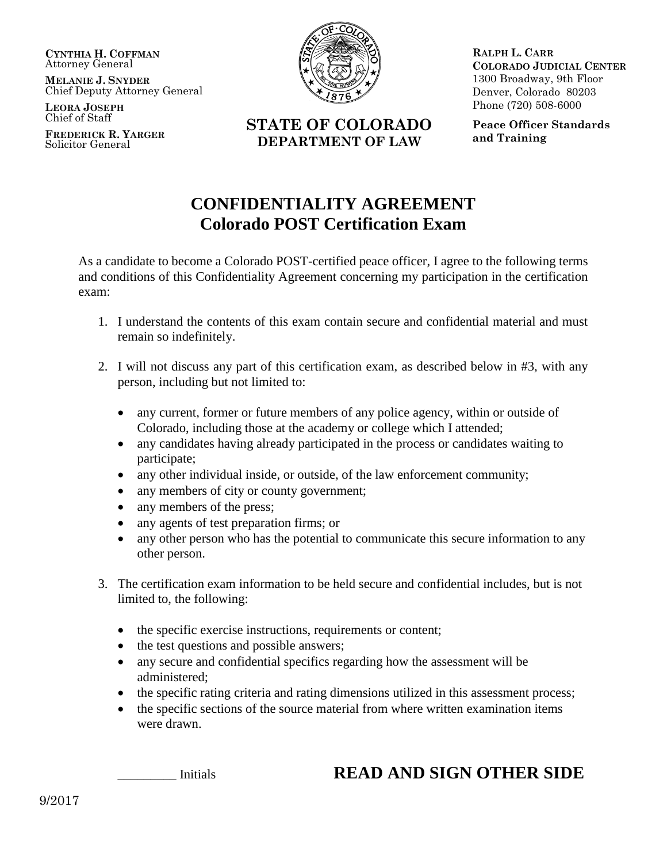**CYNTHIA H. COFFMAN** Attorney General

**MELANIE J. SNYDER** Chief Deputy Attorney General

**LEORA JOSEPH** Chief of Staff

**FREDERICK R. YARGER** Solicitor General



**RALPH L. CARR COLORADO JUDICIAL CENTER** 1300 Broadway, 9th Floor Denver, Colorado 80203 Phone (720) 508-6000

**STATE OF COLORADO DEPARTMENT OF LAW**

**Peace Officer Standards and Training**

## **CONFIDENTIALITY AGREEMENT Colorado POST Certification Exam**

As a candidate to become a Colorado POST-certified peace officer, I agree to the following terms and conditions of this Confidentiality Agreement concerning my participation in the certification exam:

- 1. I understand the contents of this exam contain secure and confidential material and must remain so indefinitely.
- 2. I will not discuss any part of this certification exam, as described below in #3, with any person, including but not limited to:
	- any current, former or future members of any police agency, within or outside of Colorado, including those at the academy or college which I attended;
	- any candidates having already participated in the process or candidates waiting to participate;
	- any other individual inside, or outside, of the law enforcement community;
	- any members of city or county government;
	- any members of the press;
	- any agents of test preparation firms; or
	- any other person who has the potential to communicate this secure information to any other person.
- 3. The certification exam information to be held secure and confidential includes, but is not limited to, the following:
	- the specific exercise instructions, requirements or content;
	- the test questions and possible answers;
	- any secure and confidential specifics regarding how the assessment will be administered;
	- the specific rating criteria and rating dimensions utilized in this assessment process;
	- the specific sections of the source material from where written examination items were drawn.

## Initials **READ AND SIGN OTHER SIDE**